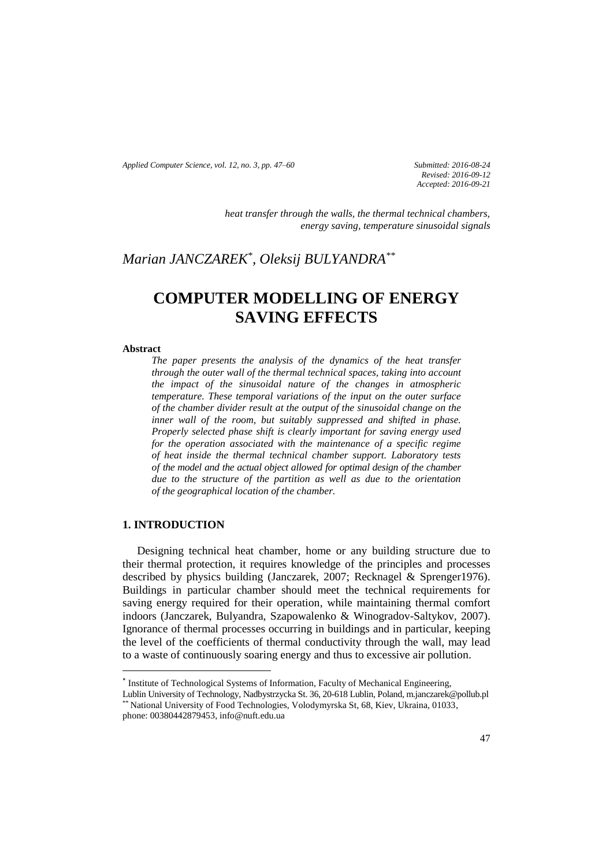*Applied Computer Science, vol. 12, no. 3, pp. 47–60 Submitted: 2016-08-24*

*Revised: 2016-09-12 Accepted: 2016-09-21*

*heat transfer through the walls, the thermal technical chambers, energy saving, temperature sinusoidal signals*

# *Marian JANCZAREK\* , Oleksij BULYANDRA\*\**

# **COMPUTER MODELLING OF ENERGY SAVING EFFECTS**

#### **Abstract**

*The paper presents the analysis of the dynamics of the heat transfer through the outer wall of the thermal technical spaces, taking into account the impact of the sinusoidal nature of the changes in atmospheric temperature. These temporal variations of the input on the outer surface of the chamber divider result at the output of the sinusoidal change on the inner wall of the room, but suitably suppressed and shifted in phase. Properly selected phase shift is clearly important for saving energy used for the operation associated with the maintenance of a specific regime of heat inside the thermal technical chamber support. Laboratory tests of the model and the actual object allowed for optimal design of the chamber due to the structure of the partition as well as due to the orientation of the geographical location of the chamber.*

### **1. INTRODUCTION**

 $\overline{\phantom{a}}$ 

Designing technical heat chamber, home or any building structure due to their thermal protection, it requires knowledge of the principles and processes described by physics building (Janczarek, 2007; Recknagel & Sprenger1976). Buildings in particular chamber should meet the technical requirements for saving energy required for their operation, while maintaining thermal comfort indoors (Janczarek, Bulyandra, Szapowalenko & Winogradov-Saltykov, 2007). Ignorance of thermal processes occurring in buildings and in particular, keeping the level of the coefficients of thermal conductivity through the wall, may lead to a waste of continuously soaring energy and thus to excessive air pollution.

<sup>\*</sup> Institute of Technological Systems of Information, Faculty of Mechanical Engineering,

Lublin University of Technology, Nadbystrzycka St. 36, 20-618 Lublin, Poland, m.janczarek@pollub.pl \*\* National University of Food Technologies, Volodymyrska St, 68, Kiev, Ukraina, 01033, phone: 00380442879453, info@nuft.edu.ua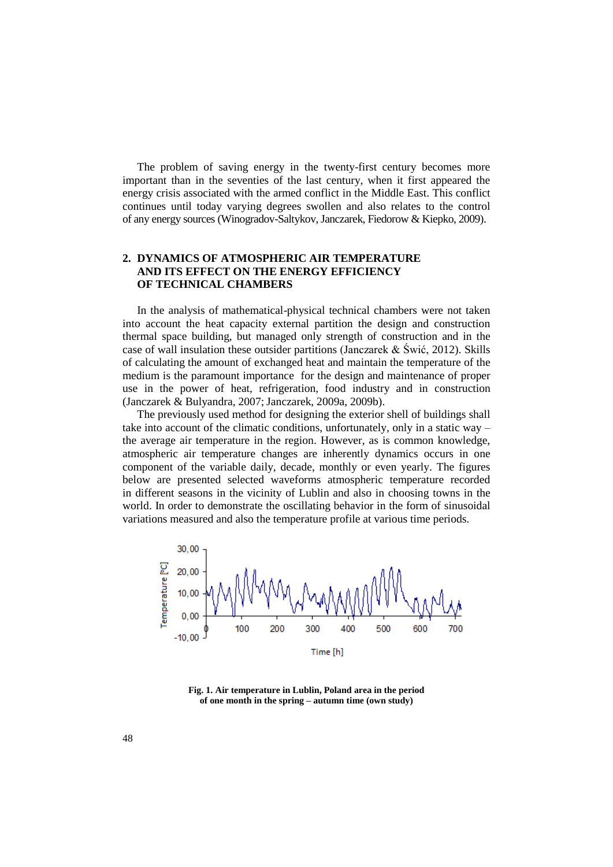The problem of saving energy in the twenty-first century becomes more important than in the seventies of the last century, when it first appeared the energy crisis associated with the armed conflict in the Middle East. This conflict continues until today varying degrees swollen and also relates to the control of any energy sources (Winogradov-Saltykov, Janczarek, Fiedorow & Kiepko, 2009).

### **2. DYNAMICS OF ATMOSPHERIC AIR TEMPERATURE AND ITS EFFECT ON THE ENERGY EFFICIENCY OF TECHNICAL CHAMBERS**

In the analysis of mathematical-physical technical chambers were not taken into account the heat capacity external partition the design and construction thermal space building, but managed only strength of construction and in the case of wall insulation these outsider partitions (Janczarek & Świć, 2012). Skills of calculating the amount of exchanged heat and maintain the temperature of the medium is the paramount importance for the design and maintenance of proper use in the power of heat, refrigeration, food industry and in construction (Janczarek & Bulyandra, 2007; Janczarek, 2009a, 2009b).

The previously used method for designing the exterior shell of buildings shall take into account of the climatic conditions, unfortunately, only in a static way – the average air temperature in the region. However, as is common knowledge, atmospheric air temperature changes are inherently dynamics occurs in one component of the variable daily, decade, monthly or even yearly. The figures below are presented selected waveforms atmospheric temperature recorded in different seasons in the vicinity of Lublin and also in choosing towns in the world. In order to demonstrate the oscillating behavior in the form of sinusoidal variations measured and also the temperature profile at various time periods.



**Fig. 1. Air temperature in Lublin, Poland area in the period of one month in the spring – autumn time (own study)**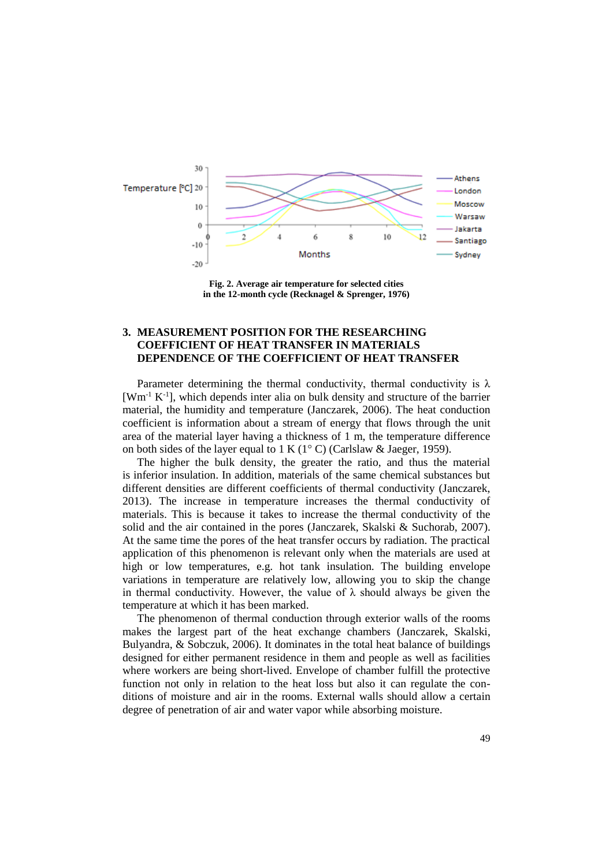

**Fig. 2. Average air temperature for selected cities in the 12-month cycle (Recknagel & Sprenger, 1976)**

## **3. MEASUREMENT POSITION FOR THE RESEARCHING COEFFICIENT OF HEAT TRANSFER IN MATERIALS DEPENDENCE OF THE COEFFICIENT OF HEAT TRANSFER**

Parameter determining the thermal conductivity, thermal conductivity is  $\lambda$ [Wm<sup>-1</sup> K<sup>-1</sup>], which depends inter alia on bulk density and structure of the barrier material, the humidity and temperature (Janczarek, 2006). The heat conduction coefficient is information about a stream of energy that flows through the unit area of the material layer having a thickness of 1 m, the temperature difference on both sides of the layer equal to  $1 K (1^{\circ} C)$  (Carlslaw & Jaeger, 1959).

The higher the bulk density, the greater the ratio, and thus the material is inferior insulation. In addition, materials of the same chemical substances but different densities are different coefficients of thermal conductivity (Janczarek, 2013). The increase in temperature increases the thermal conductivity of materials. This is because it takes to increase the thermal conductivity of the solid and the air contained in the pores (Janczarek, Skalski & Suchorab, 2007). At the same time the pores of the heat transfer occurs by radiation. The practical application of this phenomenon is relevant only when the materials are used at high or low temperatures, e.g. hot tank insulation. The building envelope variations in temperature are relatively low, allowing you to skip the change in thermal conductivity. However, the value of  $\lambda$  should always be given the temperature at which it has been marked.

The phenomenon of thermal conduction through exterior walls of the rooms makes the largest part of the heat exchange chambers (Janczarek, Skalski, Bulyandra, & Sobczuk, 2006). It dominates in the total heat balance of buildings designed for either permanent residence in them and people as well as facilities where workers are being short-lived. Envelope of chamber fulfill the protective function not only in relation to the heat loss but also it can regulate the conditions of moisture and air in the rooms. External walls should allow a certain degree of penetration of air and water vapor while absorbing moisture.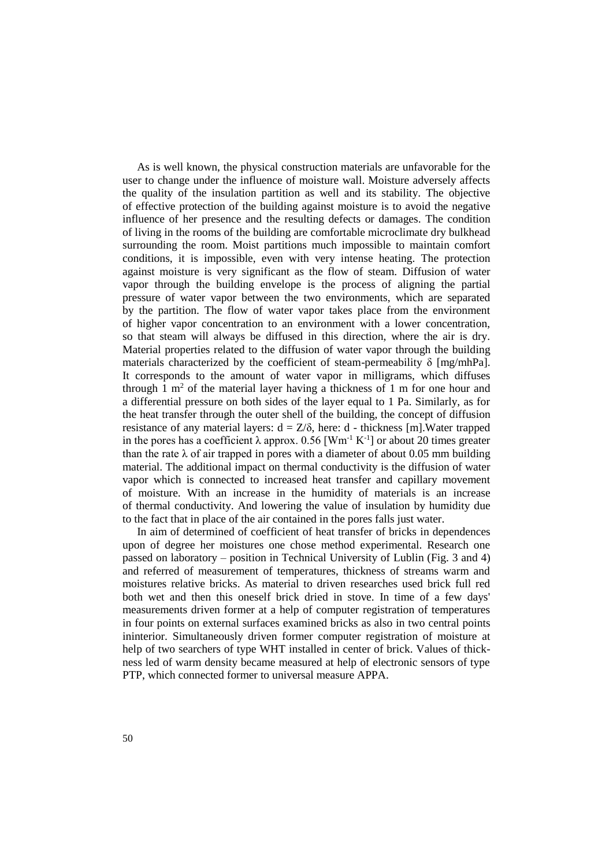As is well known, the physical construction materials are unfavorable for the user to change under the influence of moisture wall. Moisture adversely affects the quality of the insulation partition as well and its stability. The objective of effective protection of the building against moisture is to avoid the negative influence of her presence and the resulting defects or damages. The condition of living in the rooms of the building are comfortable microclimate dry bulkhead surrounding the room. Moist partitions much impossible to maintain comfort conditions, it is impossible, even with very intense heating. The protection against moisture is very significant as the flow of steam. Diffusion of water vapor through the building envelope is the process of aligning the partial pressure of water vapor between the two environments, which are separated by the partition. The flow of water vapor takes place from the environment of higher vapor concentration to an environment with a lower concentration, so that steam will always be diffused in this direction, where the air is dry. Material properties related to the diffusion of water vapor through the building materials characterized by the coefficient of steam-permeability  $\delta$  [mg/mhPa]. It corresponds to the amount of water vapor in milligrams, which diffuses through  $\overline{1}$  m<sup>2</sup> of the material layer having a thickness of 1 m for one hour and a differential pressure on both sides of the layer equal to 1 Pa. Similarly, as for the heat transfer through the outer shell of the building, the concept of diffusion resistance of any material layers:  $d = Z/\delta$ , here: d - thickness [m]. Water trapped in the pores has a coefficient  $\lambda$  approx. 0.56 [Wm<sup>-1</sup> K<sup>-1</sup>] or about 20 times greater than the rate  $\lambda$  of air trapped in pores with a diameter of about 0.05 mm building material. The additional impact on thermal conductivity is the diffusion of water vapor which is connected to increased heat transfer and capillary movement of moisture. With an increase in the humidity of materials is an increase of thermal conductivity. And lowering the value of insulation by humidity due to the fact that in place of the air contained in the pores falls just water.

In aim of determined of coefficient of heat transfer of bricks in dependences upon of degree her moistures one chose method experimental. Research one passed on laboratory – position in Technical University of Lublin (Fig. 3 and 4) and referred of measurement of temperatures, thickness of streams warm and moistures relative bricks. As material to driven researches used brick full red both wet and then this oneself brick dried in stove. In time of a few days' measurements driven former at a help of computer registration of temperatures in four points on external surfaces examined bricks as also in two central points ininterior. Simultaneously driven former computer registration of moisture at help of two searchers of type WHT installed in center of brick. Values of thickness led of warm density became measured at help of electronic sensors of type PTP, which connected former to universal measure APPA.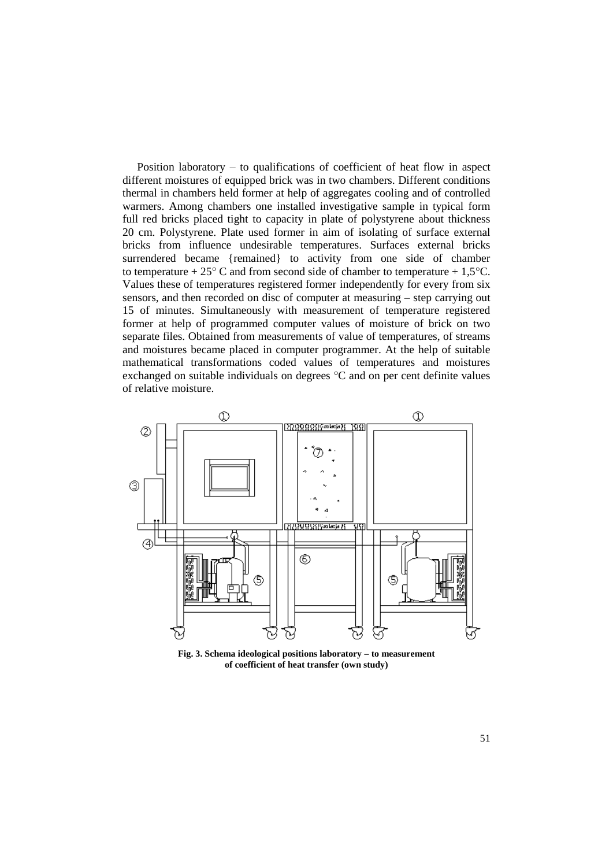Position laboratory – to qualifications of coefficient of heat flow in aspect different moistures of equipped brick was in two chambers. Different conditions thermal in chambers held former at help of aggregates cooling and of controlled warmers. Among chambers one installed investigative sample in typical form full red bricks placed tight to capacity in plate of polystyrene about thickness 20 cm. Polystyrene. Plate used former in aim of isolating of surface external bricks from influence undesirable temperatures. Surfaces external bricks surrendered became {remained} to activity from one side of chamber to temperature +  $25^{\circ}$  C and from second side of chamber to temperature + 1,5 $^{\circ}$ C. Values these of temperatures registered former independently for every from six sensors, and then recorded on disc of computer at measuring – step carrying out 15 of minutes. Simultaneously with measurement of temperature registered former at help of programmed computer values of moisture of brick on two separate files. Obtained from measurements of value of temperatures, of streams and moistures became placed in computer programmer. At the help of suitable mathematical transformations coded values of temperatures and moistures exchanged on suitable individuals on degrees °C and on per cent definite values of relative moisture.



**Fig. 3. Schema ideological positions laboratory – to measurement of coefficient of heat transfer (own study)**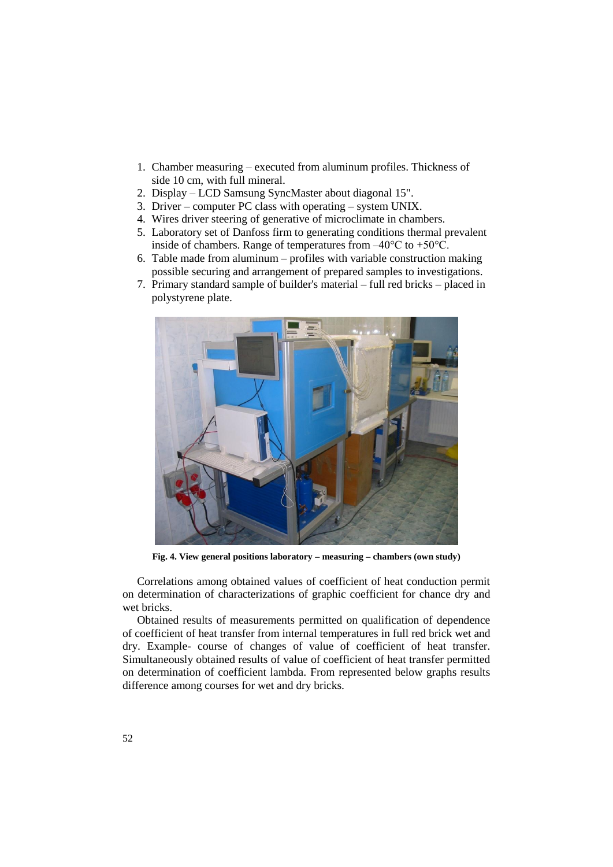- 1. Chamber measuring executed from aluminum profiles. Thickness of side 10 cm, with full mineral.
- 2. Display LCD Samsung SyncMaster about diagonal 15".
- 3. Driver computer PC class with operating system UNIX.
- 4. Wires driver steering of generative of microclimate in chambers.
- 5. Laboratory set of Danfoss firm to generating conditions thermal prevalent inside of chambers. Range of temperatures from  $-40^{\circ}$ C to  $+50^{\circ}$ C.
- 6. Table made from aluminum profiles with variable construction making possible securing and arrangement of prepared samples to investigations.
- 7. Primary standard sample of builder's material full red bricks placed in polystyrene plate.



**Fig. 4. View general positions laboratory – measuring – chambers (own study)**

Correlations among obtained values of coefficient of heat conduction permit on determination of characterizations of graphic coefficient for chance dry and wet bricks.

Obtained results of measurements permitted on qualification of dependence of coefficient of heat transfer from internal temperatures in full red brick wet and dry. Example- course of changes of value of coefficient of heat transfer. Simultaneously obtained results of value of coefficient of heat transfer permitted on determination of coefficient lambda. From represented below graphs results difference among courses for wet and dry bricks.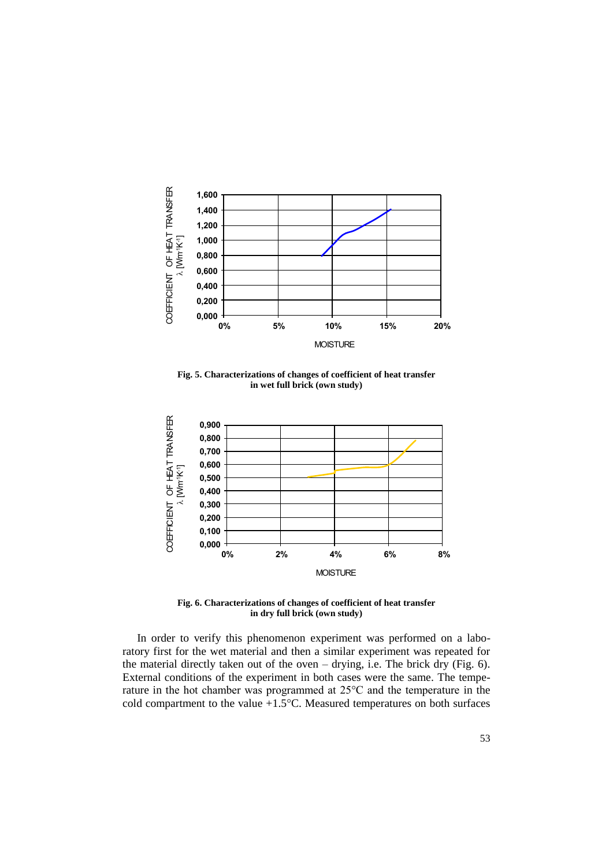

**Fig. 5. Characterizations of changes of coefficient of heat transfer in wet full brick (own study)**



**Fig. 6. Characterizations of changes of coefficient of heat transfer in dry full brick (own study)**

In order to verify this phenomenon experiment was performed on a laboratory first for the wet material and then a similar experiment was repeated for the material directly taken out of the oven  $-$  drying, i.e. The brick dry (Fig. 6). External conditions of the experiment in both cases were the same. The temperature in the hot chamber was programmed at 25°C and the temperature in the cold compartment to the value  $+1.5^{\circ}$ C. Measured temperatures on both surfaces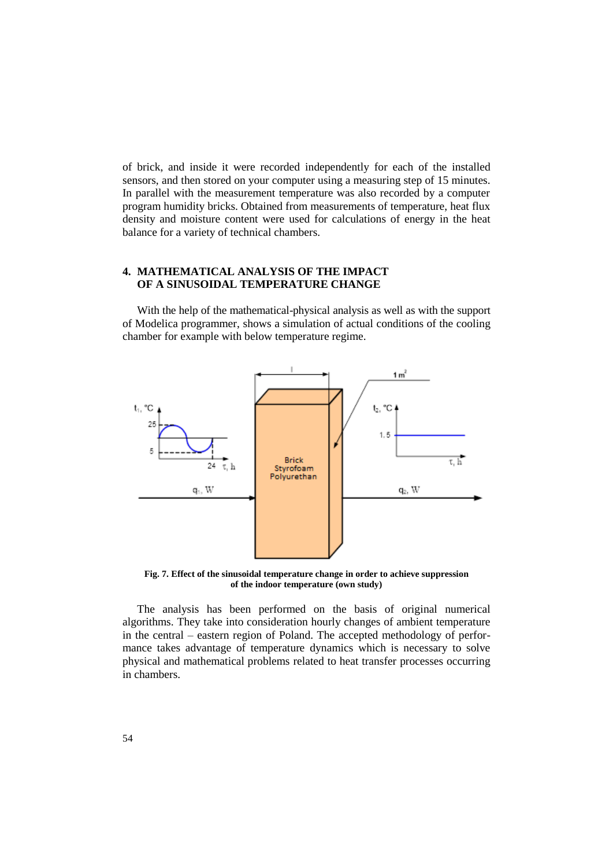of brick, and inside it were recorded independently for each of the installed sensors, and then stored on your computer using a measuring step of 15 minutes. In parallel with the measurement temperature was also recorded by a computer program humidity bricks. Obtained from measurements of temperature, heat flux density and moisture content were used for calculations of energy in the heat balance for a variety of technical chambers.

#### **4. MATHEMATICAL ANALYSIS OF THE IMPACT OF A SINUSOIDAL TEMPERATURE CHANGE**

With the help of the mathematical-physical analysis as well as with the support of Modelica programmer, shows a simulation of actual conditions of the cooling chamber for example with below temperature regime.



**Fig. 7. Effect of the sinusoidal temperature change in order to achieve suppression of the indoor temperature (own study)**

The analysis has been performed on the basis of original numerical algorithms. They take into consideration hourly changes of ambient temperature in the central – eastern region of Poland. The accepted methodology of performance takes advantage of temperature dynamics which is necessary to solve physical and mathematical problems related to heat transfer processes occurring in chambers.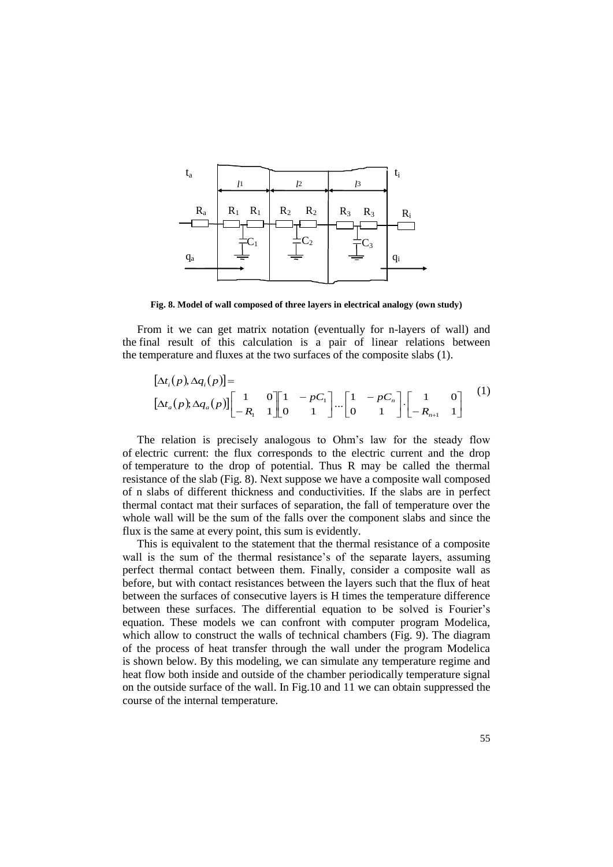

**Fig. 8. Model of wall composed of three layers in electrical analogy (own study)**

From it we can get matrix notation (eventually for n-layers of wall) and the final result of this calculation is a pair of linear relations between the temperature and fluxes at the two surfaces of the composite slabs (1).

$$
[\Delta t_i(p), \Delta q_i(p)] =
$$
  
\n
$$
[\Delta t_a(p), \Delta q_a(p)] \begin{bmatrix} 1 & 0 \\ -R_1 & 1 \end{bmatrix} \begin{bmatrix} 1 & -pC_1 \\ 0 & 1 \end{bmatrix} \cdots \begin{bmatrix} 1 & -pC_n \\ 0 & 1 \end{bmatrix} \cdot \begin{bmatrix} 1 & 0 \\ -R_{n+1} & 1 \end{bmatrix}
$$
 (1)

The relation is precisely analogous to Ohm's law for the steady flow of electric current: the flux corresponds to the electric current and the drop of temperature to the drop of potential. Thus R may be called the thermal resistance of the slab (Fig. 8). Next suppose we have a composite wall composed of n slabs of different thickness and conductivities. If the slabs are in perfect thermal contact mat their surfaces of separation, the fall of temperature over the whole wall will be the sum of the falls over the component slabs and since the flux is the same at every point, this sum is evidently.

This is equivalent to the statement that the thermal resistance of a composite wall is the sum of the thermal resistance's of the separate layers, assuming perfect thermal contact between them. Finally, consider a composite wall as before, but with contact resistances between the layers such that the flux of heat between the surfaces of consecutive layers is H times the temperature difference between these surfaces. The differential equation to be solved is Fourier's equation. These models we can confront with computer program Modelica, which allow to construct the walls of technical chambers (Fig. 9). The diagram of the process of heat transfer through the wall under the program Modelica is shown below. By this modeling, we can simulate any temperature regime and heat flow both inside and outside of the chamber periodically temperature signal on the outside surface of the wall. In Fig.10 and 11 we can obtain suppressed the course of the internal temperature.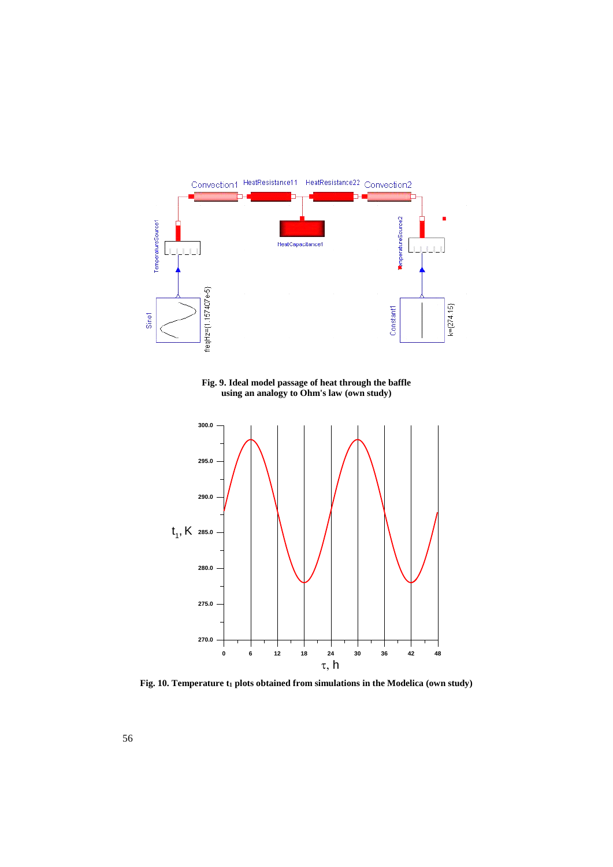

**Fig. 9. Ideal model passage of heat through the baffle using an analogy to Ohm's law (own study)**



**Fig. 10. Temperature t<sup>1</sup> plots obtained from simulations in the Modelica (own study)**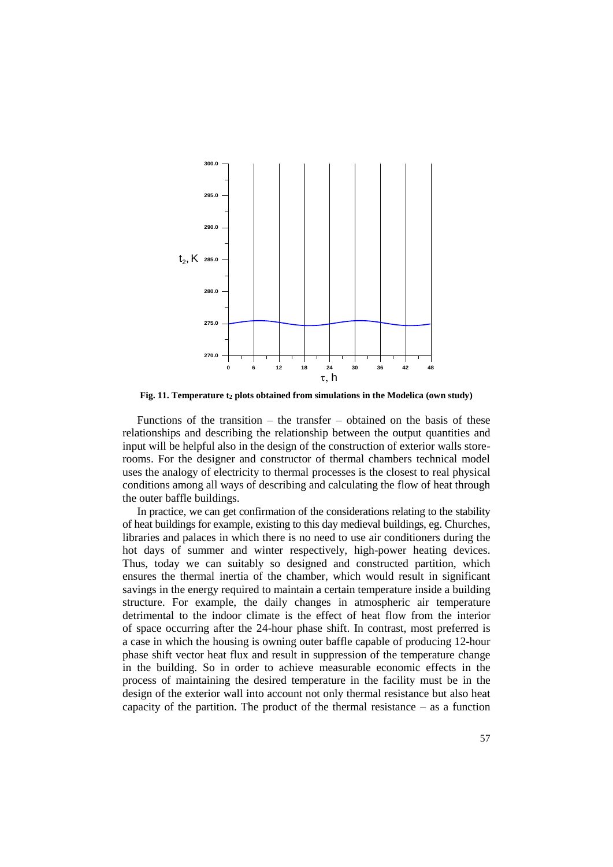

**Fig. 11. Temperature t<sup>2</sup> plots obtained from simulations in the Modelica (own study)**

Functions of the transition – the transfer – obtained on the basis of these relationships and describing the relationship between the output quantities and input will be helpful also in the design of the construction of exterior walls storerooms. For the designer and constructor of thermal chambers technical model uses the analogy of electricity to thermal processes is the closest to real physical conditions among all ways of describing and calculating the flow of heat through the outer baffle buildings.

In practice, we can get confirmation of the considerations relating to the stability of heat buildings for example, existing to this day medieval buildings, eg. Churches, libraries and palaces in which there is no need to use air conditioners during the hot days of summer and winter respectively, high-power heating devices. Thus, today we can suitably so designed and constructed partition, which ensures the thermal inertia of the chamber, which would result in significant savings in the energy required to maintain a certain temperature inside a building structure. For example, the daily changes in atmospheric air temperature detrimental to the indoor climate is the effect of heat flow from the interior of space occurring after the 24-hour phase shift. In contrast, most preferred is a case in which the housing is owning outer baffle capable of producing 12-hour phase shift vector heat flux and result in suppression of the temperature change in the building. So in order to achieve measurable economic effects in the process of maintaining the desired temperature in the facility must be in the design of the exterior wall into account not only thermal resistance but also heat capacity of the partition. The product of the thermal resistance  $-$  as a function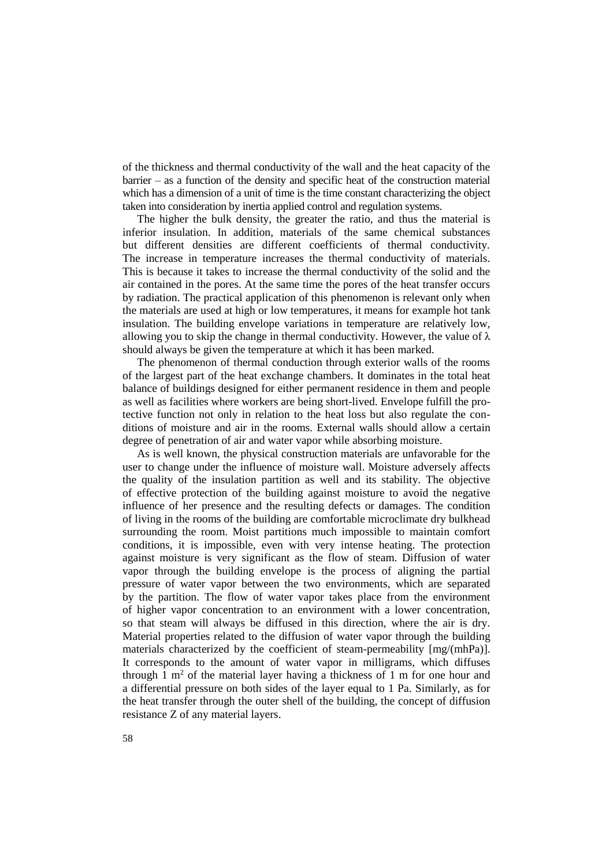of the thickness and thermal conductivity of the wall and the heat capacity of the barrier – as a function of the density and specific heat of the construction material which has a dimension of a unit of time is the time constant characterizing the object taken into consideration by inertia applied control and regulation systems.

The higher the bulk density, the greater the ratio, and thus the material is inferior insulation. In addition, materials of the same chemical substances but different densities are different coefficients of thermal conductivity. The increase in temperature increases the thermal conductivity of materials. This is because it takes to increase the thermal conductivity of the solid and the air contained in the pores. At the same time the pores of the heat transfer occurs by radiation. The practical application of this phenomenon is relevant only when the materials are used at high or low temperatures, it means for example hot tank insulation. The building envelope variations in temperature are relatively low, allowing you to skip the change in thermal conductivity. However, the value of  $\lambda$ should always be given the temperature at which it has been marked.

The phenomenon of thermal conduction through exterior walls of the rooms of the largest part of the heat exchange chambers. It dominates in the total heat balance of buildings designed for either permanent residence in them and people as well as facilities where workers are being short-lived. Envelope fulfill the protective function not only in relation to the heat loss but also regulate the conditions of moisture and air in the rooms. External walls should allow a certain degree of penetration of air and water vapor while absorbing moisture.

As is well known, the physical construction materials are unfavorable for the user to change under the influence of moisture wall. Moisture adversely affects the quality of the insulation partition as well and its stability. The objective of effective protection of the building against moisture to avoid the negative influence of her presence and the resulting defects or damages. The condition of living in the rooms of the building are comfortable microclimate dry bulkhead surrounding the room. Moist partitions much impossible to maintain comfort conditions, it is impossible, even with very intense heating. The protection against moisture is very significant as the flow of steam. Diffusion of water vapor through the building envelope is the process of aligning the partial pressure of water vapor between the two environments, which are separated by the partition. The flow of water vapor takes place from the environment of higher vapor concentration to an environment with a lower concentration, so that steam will always be diffused in this direction, where the air is dry. Material properties related to the diffusion of water vapor through the building materials characterized by the coefficient of steam-permeability [mg/(mhPa)]. It corresponds to the amount of water vapor in milligrams, which diffuses through 1  $m<sup>2</sup>$  of the material layer having a thickness of 1 m for one hour and a differential pressure on both sides of the layer equal to 1 Pa. Similarly, as for the heat transfer through the outer shell of the building, the concept of diffusion resistance Z of any material layers.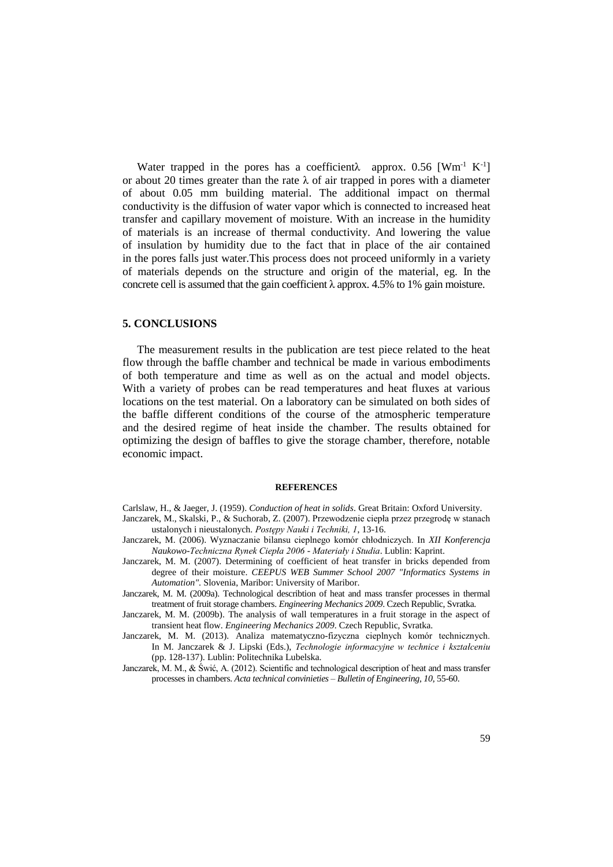Water trapped in the pores has a coefficient $\lambda$  approx. 0.56 [Wm<sup>-1</sup> K<sup>-1</sup>] or about 20 times greater than the rate  $\lambda$  of air trapped in pores with a diameter of about 0.05 mm building material. The additional impact on thermal conductivity is the diffusion of water vapor which is connected to increased heat transfer and capillary movement of moisture. With an increase in the humidity of materials is an increase of thermal conductivity. And lowering the value of insulation by humidity due to the fact that in place of the air contained in the pores falls just water.This process does not proceed uniformly in a variety of materials depends on the structure and origin of the material, eg. In the concrete cell is assumed that the gain coefficient λ approx. 4.5% to 1% gain moisture.

#### **5. CONCLUSIONS**

The measurement results in the publication are test piece related to the heat flow through the baffle chamber and technical be made in various embodiments of both temperature and time as well as on the actual and model objects. With a variety of probes can be read temperatures and heat fluxes at various locations on the test material. On a laboratory can be simulated on both sides of the baffle different conditions of the course of the atmospheric temperature and the desired regime of heat inside the chamber. The results obtained for optimizing the design of baffles to give the storage chamber, therefore, notable economic impact.

#### **REFERENCES**

Carlslaw, H., & Jaeger, J. (1959). *Conduction of heat in solids*. Great Britain: Oxford University.

- Janczarek, M., Skalski, P., & Suchorab, Z. (2007). Przewodzenie ciepła przez przegrodę w stanach ustalonych i nieustalonych. *Postępy Nauki i Techniki, 1*, 13-16.
- Janczarek, M. (2006). Wyznaczanie bilansu cieplnego komór chłodniczych. In *XII Konferencja Naukowo-Techniczna Rynek Ciepła 2006 - Materiały i Studia*. Lublin: Kaprint.
- Janczarek, M. M. (2007). Determining of coefficient of heat transfer in bricks depended from degree of their moisture. *CEEPUS WEB Summer School 2007 "Informatics Systems in Automation"*. Slovenia, Maribor: University of Maribor.
- Janczarek, M. M. (2009a). Technological describtion of heat and mass transfer processes in thermal treatment of fruit storage chambers. *Engineering Mechanics 2009*. Czech Republic, Svratka.
- Janczarek, M. M. (2009b). The analysis of wall temperatures in a fruit storage in the aspect of transient heat flow. *Engineering Mechanics 2009*. Czech Republic, Svratka.
- Janczarek, M. M. (2013). Analiza matematyczno-fizyczna cieplnych komór technicznych. In M. Janczarek & J. Lipski (Eds.), *Technologie informacyjne w technice i kształceniu*  (pp. 128-137). Lublin: Politechnika Lubelska.
- Janczarek, M. M., & Świć, A. (2012). Scientific and technological description of heat and mass transfer processes in chambers. *Acta technical convinieties – Bulletin of Engineering, 10*, 55-60.